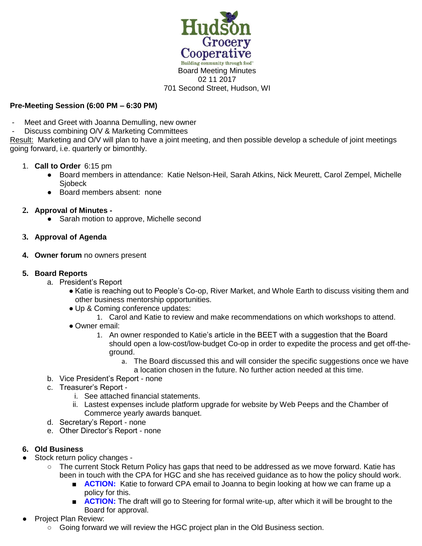

## **Pre-Meeting Session (6:00 PM – 6:30 PM)**

- Meet and Greet with Joanna Demulling, new owner
- Discuss combining O/V & Marketing Committees

Result: Marketing and O/V will plan to have a joint meeting, and then possible develop a schedule of joint meetings going forward, i.e. quarterly or bimonthly.

- 1. **Call to Order** 6:15 pm
	- Board members in attendance: Katie Nelson-Heil, Sarah Atkins, Nick Meurett, Carol Zempel, Michelle **Siobeck**
	- Board members absent: none
- **2. Approval of Minutes -**
	- Sarah motion to approve, Michelle second
- **3. Approval of Agenda**
- **4. Owner forum** no owners present
- **5. Board Reports** 
	- a. President's Report
		- Katie is reaching out to People's Co-op, River Market, and Whole Earth to discuss visiting them and other business mentorship opportunities.
		- Up & Coming conference updates:
			- 1. Carol and Katie to review and make recommendations on which workshops to attend.
		- Owner email:
			- 1. An owner responded to Katie's article in the BEET with a suggestion that the Board should open a low-cost/low-budget Co-op in order to expedite the process and get off-theground.
				- a. The Board discussed this and will consider the specific suggestions once we have a location chosen in the future. No further action needed at this time.
	- b. Vice President's Report none
	- c. Treasurer's Report
		- i. See attached financial statements.
		- ii. Lastest expenses include platform upgrade for website by Web Peeps and the Chamber of Commerce yearly awards banquet.
	- d. Secretary's Report none
	- e. Other Director's Report none

## **6. Old Business**

- Stock return policy changes -
	- The current Stock Return Policy has gaps that need to be addressed as we move forward. Katie has been in touch with the CPA for HGC and she has received guidance as to how the policy should work.
		- **ACTION:** Katie to forward CPA email to Joanna to begin looking at how we can frame up a policy for this.
		- **ACTION:** The draft will go to Steering for formal write-up, after which it will be brought to the Board for approval.
- Project Plan Review:
	- Going forward we will review the HGC project plan in the Old Business section.